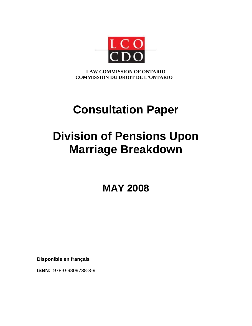

**LAW COMMISSION OF ONTARIO COMMISSION DU DROIT DE L'ONTARIO**

# **Consultation Paper**

# **Division of Pensions Upon Marriage Breakdown**

**MAY 2008**

**Disponible en français**

**ISBN:** [978-0-9809738-3-9](http://www.collectionscanada.gc.ca/isn/ciss/index.php?fuseaction=logbook.edit&publication=152961)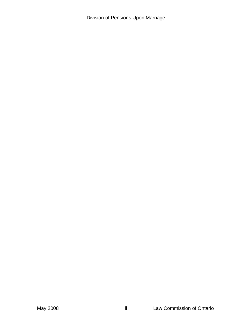Division of Pensions Upon Marriage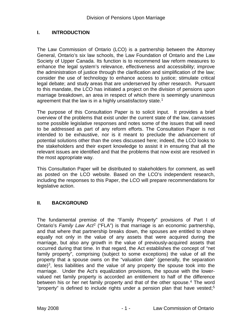## **I. INTRODUCTION**

The Law Commission of Ontario (LCO) is a partnership between the Attorney General, Ontario's six law schools, the Law Foundation of Ontario and the Law Society of Upper Canada. Its function is to recommend law reform measures to enhance the legal system's relevance, effectiveness and accessibility; improve the administration of justice through the clarification and simplification of the law; consider the use of technology to enhance access to justice; stimulate critical legal debate; and study areas that are underserved by other research. Pursuant to this mandate, the LCO has initiated a project on the division of pensions upon marriage breakdown, an area in respect of which there is seemingly unanimous agreement that the law is in a highly unsatisfactory state.<sup>[1](#page-5-0)</sup>

The purpose of this Consultation Paper is to solicit input. It provides a brief overview of the problems that exist under the current state of the law, canvasses some possible legislative responses and notes some of the issues that will need to be addressed as part of any reform efforts. The Consultation Paper is not intended to be exhaustive, nor is it meant to preclude the advancement of potential solutions other than the ones discussed here; indeed, the LCO looks to the stakeholders and their expert knowledge to assist it in ensuring that all the relevant issues are identified and that the problems that now exist are resolved in the most appropriate way.

This Consultation Paper will be distributed to stakeholders for comment, as well as posted on the LCO website. Based on the LCO's independent research, including the responses to this Paper, the LCO will prepare recommendations for legislative action.

# **II. BACKGROUND**

The fundamental premise of the "Family Property" provisions of Part I of Ontario's *Family Law Act*[2](#page-5-1) ("FLA") is that marriage is an economic partnership, and that where that partnership breaks down, the spouses are entitled to share equally not only in the value of any assets that were acquired during the marriage, but also any growth in the value of previously-acquired assets that occurred during that time. In that regard, the Act establishes the concept of "net family property", comprising (subject to some exceptions) the value of all the property that a spouse owns on the "valuation date" (generally, the separation  $data$ )<sup>[3](#page-5-2)</sup>, less liabilities and the value of any property the spouse took into the marriage. Under the Act's equalization provisions, the spouse with the lowervalued net family property is accorded an entitlement to half of the difference between his or her net family property and that of the other spouse.<sup>[4](#page-5-3)</sup> The word "property" is defined to include rights under a pension plan that have vested;<sup>[5](#page-5-4)</sup>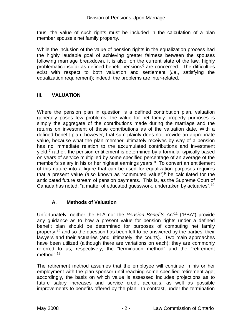thus, the value of such rights must be included in the calculation of a plan member spouse's net family property.

While the inclusion of the value of pension rights in the equalization process had the highly laudable goal of achieving greater fairness between the spouses following marriage breakdown, it is also, on the current state of the law, highly problematic insofar as defined benefit pensions $6$  are concerned. The difficulties exist with respect to both valuation and settlement (*i.e*., satisfying the equalization requirement); indeed, the problems are inter-related.

## **III. VALUATION**

Where the pension plan in question is a defined contribution plan, valuation generally poses few problems; the value for net family property purposes is simply the aggregate of the contributions made during the marriage and the returns on investment of those contributions as of the valuation date. With a defined benefit plan, however, that sum plainly does not provide an appropriate value, because what the plan member ultimately receives by way of a pension has no immediate relation to the accumulated contributions and investment yield;<sup>[7](#page-6-1)</sup> rather, the pension entitlement is determined by a formula, typically based on years of service multiplied by some specified percentage of an average of the member's salary in his or her highest earnings years. $8$  To convert an entitlement of this nature into a figure that can be used for equalization purposes requires that a present value (also known as "commuted value") $9$  be calculated for the anticipated future stream of pension payments. This is, as the Supreme Court of Canada has noted, "a matter of educated guesswork, undertaken by actuaries".[10](#page-6-4)

# **A. Methods of Valuation**

Unfortunately, neither the FLA nor the *Pension Benefits Act*[11](#page-6-5) ("PBA") provide any guidance as to how a present value for pension rights under a defined benefit plan should be determined for purposes of computing net family property,<sup>[12](#page-6-6)</sup> and so the question has been left to be answered by the parties, their lawyers and their actuaries (and ultimately, the courts). Two main approaches have been utilized (although there are variations on each); they are commonly referred to as, respectively, the "termination method" and the "retirement method".<sup>[13](#page-6-7)</sup>

The retirement method assumes that the employee will continue in his or her employment with the plan sponsor until reaching some specified retirement age; accordingly, the basis on which value is assessed includes projections as to future salary increases and service credit accruals, as well as possible improvements to benefits offered by the plan. In contrast, under the termination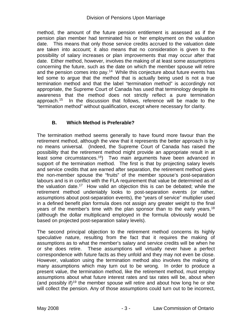<span id="page-5-2"></span><span id="page-5-1"></span><span id="page-5-0"></span>method, the amount of the future pension entitlement is assessed as if the pension plan member had terminated his or her employment on the valuation date. This means that only those service credits accrued to the valuation date are taken into account; it also means that no consideration is given to the possibility of salary increases or plan improvements that may occur after that date. Either method, however, involves the making of at least some assumptions concerning the future, such as the date on which the member spouse will retire and the pension comes into pay.<sup>14</sup> While this conjecture about future events has led some to argue that the method that is actually being used is not a true termination method and that the label "termination method" is accordingly not appropriate, the Supreme Court of Canada has used that terminology despite its awareness that the method does not strictly reflect a pure termination approach.[15](#page-7-1) In the discussion that follows, reference will be made to the "termination method" without qualification, except where necessary for clarity.

# **B. Which Method is Preferable?**

<span id="page-5-4"></span><span id="page-5-3"></span>The termination method seems generally to have found more favour than the retirement method, although the view that it represents the better approach is by no means universal. (Indeed, the Supreme Court of Canada has raised the possibility that the retirement method might provide an appropriate result in at least some circumstances.<sup>16</sup>) Two main arguments have been advanced in support of the termination method. The first is that by projecting salary levels and service credits that are earned after separation, the retirement method gives the non-member spouse the "fruits" of the member spouse's post-separation labours and is in conflict with the FLA requirement that value be determined as of the valuation date.<sup>17</sup> How valid an objection this is can be debated; while the retirement method undeniably looks to post-separation events (or rather, assumptions about post-separation events), the "years of service" multiplier used in a defined benefit plan formula does not assign any greater weight to the final years of the member's time with the plan sponsor than to the early years,  $18$ (although the dollar multiplicand employed in the formula obviously would be based on projected post-separation salary levels).

The second principal objection to the retirement method concerns its highly speculative nature, resulting from the fact that it requires the making of assumptions as to what the member's salary and service credits will be when he or she does retire. These assumptions will virtually never have a perfect correspondence with future facts as they unfold and they may not even be close. However, valuation using the termination method also involves the making of many assumptions which may turn out to be wrong. In order to produce a present value, the termination method, like the retirement method, must employ assumptions about what future interest rates and tax rates will be, about when (and possibly if)<sup>[19](#page-7-5)</sup> the member spouse will retire and about how long he or she will collect the pension. Any of those assumptions could turn out to be incorrect,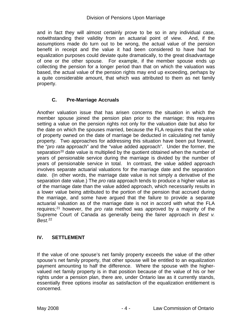and in fact they will almost certainly prove to be so in any individual case, notwithstanding their validity from an actuarial point of view. And, if the assumptions made do turn out to be wrong, the actual value of the pension benefit in receipt and the value it had been considered to have had for equalization purposes could deviate quite dramatically, to the great disadvantage of one or the other spouse. For example, if the member spouse ends up collecting the pension for a longer period than that on which the valuation was based, the actual value of the pension rights may end up exceeding, perhaps by a quite considerable amount, that which was attributed to them as net family property.

# **C. Pre-Marriage Accruals**

<span id="page-6-3"></span><span id="page-6-2"></span><span id="page-6-1"></span><span id="page-6-0"></span>Another valuation issue that has arisen concerns the situation in which the member spouse joined the pension plan prior to the marriage; this requires setting a value on the pension rights not only for the valuation date but also for the date on which the spouses married, because the FLA requires that the value of property owned on the date of marriage be deducted in calculating net family property. Two approaches for addressing this situation have been put forward, the "*pro rata* approach" and the "value added approach". Under the former, the separation<sup>[20](#page-8-0)</sup> date value is multiplied by the quotient obtained when the number of years of pensionable service during the marriage is divided by the number of years of pensionable service in total. In contrast, the value added approach involves separate actuarial valuations for the marriage date and the separation date. (In other words, the marriage date value is not simply a derivative of the separation date value.) The *pro rata* approach tends to produce a higher value as of the marriage date than the value added approach, which necessarily results in a lower value being attributed to the portion of the pension that accrued during the marriage, and some have argued that the failure to provide a separate actuarial valuation as of the marriage date is not in accord with what the FLA requires;[21](#page-8-1) however, the *pro rata* method was approved by a majority of the Supreme Court of Canada as generally being the fairer approach in *Best v. Best.*[22](#page-8-2)

## <span id="page-6-7"></span><span id="page-6-6"></span><span id="page-6-5"></span><span id="page-6-4"></span>**IV. SETTLEMENT**

If the value of one spouse's net family property exceeds the value of the other spouse's net family property, that other spouse will be entitled to an equalization payment amounting to half the difference. Where the spouse with the highervalued net family property is in that position because of the value of his or her rights under a pension plan, there are, under Ontario law as it currently stands, essentially three options insofar as satisfaction of the equalization entitlement is concerned.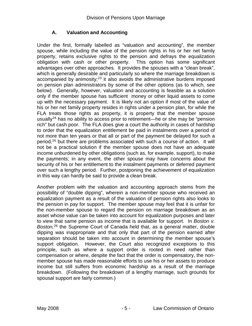## **A. Valuation and Accounting**

<span id="page-7-5"></span>Under the first, formally labelled as "valuation and accounting", the member spouse, while including the value of the pension rights in his or her net family property, retains exclusive rights to the pension and defrays the equalization obligation with cash or other property. This option has some significant advantages over other approaches. It provides the spouses with a "clean break", which is generally desirable and particularly so where the marriage breakdown is accompanied by animosity; $23$  it also avoids the administrative burdens imposed on pension plan administrators by some of the other options (as to which, see below). Generally, however, valuation and accounting is feasible as a solution only if the member spouse has sufficient money or other liquid assets to come up with the necessary payment. It is likely not an option if most of the value of his or her net family property resides in rights under a pension plan, for while the FLA treats those rights as property, it is property that the member spouse usually<sup>[24](#page-9-1)</sup> has no ability to access prior to retirement—he or she may be "pension rich" but cash poor. The FLA does give a court the authority in cases of hardship to order that the equalization entitlement be paid in instalments over a period of not more than ten years or that all or part of the payment be delayed for such a period,<sup>[25](#page-9-2)</sup> but there are problems associated with such a course of action. It will not be a practical solution if the member spouse does not have an adequate income unburdened by other obligations (such as, for example, support), to make the payments; in any event, the other spouse may have concerns about the security of his or her entitlement to the instalment payments or deferred payment over such a lengthy period. Further, postponing the achievement of equalization in this way can hardly be said to provide a clean break.

<span id="page-7-4"></span><span id="page-7-3"></span><span id="page-7-2"></span><span id="page-7-1"></span><span id="page-7-0"></span>Another problem with the valuation and accounting approach stems from the possibility of "double dipping", wherein a non-member spouse who received an equalization payment as a result of the valuation of pension rights also looks to the pension in pay for support. The member spouse may feel that it is unfair for the non-member spouse to regard the pension on marriage breakdown as an asset whose value can be taken into account for equalization purposes and later to view that same pension as income that is available for support. In *Boston v. Boston,*[26](#page-9-3) the Supreme Court of Canada held that, as a general matter, double dipping was inappropriate and that only that part of the pension earned after separation should be taken into account in determining the member spouse's support obligation. However, the Court also recognized exceptions to this principle, such as where a support order is rooted in need rather than compensation or where, despite the fact that the order is compensatory, the nonmember spouse has made reasonable efforts to use his or her assets to produce income but still suffers from economic hardship as a result of the marriage breakdown. (Following the breakdown of a lengthy marriage, such grounds for spousal support are fairly common.)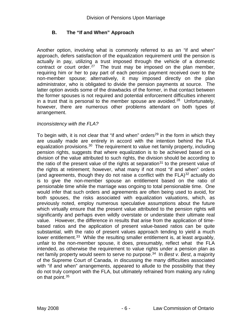## **B. The "If and When" Approach**

<span id="page-8-1"></span><span id="page-8-0"></span>Another option, involving what is commonly referred to as an "if and when" approach, defers satisfaction of the equalization requirement until the pension is actually in pay, utilizing a trust imposed through the vehicle of a domestic contract or court order.<sup>27</sup> The trust may be imposed on the plan member, requiring him or her to pay part of each pension payment received over to the non-member spouse; alternatively, it may imposed directly on the plan administrator, who is obligated to divide the pension payments at source. The latter option avoids some of the drawbacks of the former, in that contact between the former spouses is not required and potential enforcement difficulties inherent in a trust that is personal to the member spouse are avoided.<sup>28</sup> Unfortunately, however, there are numerous other problems attendant on both types of arrangement.

#### <span id="page-8-2"></span>*Inconsistency with the FLA?*

To begin with, it is not clear that "if and when" orders<sup>[29](#page-10-2)</sup> in the form in which they are usually made are entirely in accord with the intention behind the FLA equalization provisions.<sup>[30](#page-10-3)</sup> The requirement to value net family property, including pension rights, suggests that where equalization is to be achieved based on a division of the value attributed to such rights, the division should be according to the ratio of the present value of the rights at separation<sup>[31](#page-10-4)</sup> to the present value of the rights at retirement; however, what many if not most "if and when" orders (and agreements, though they do not raise a conflict with the  $FLA$ )<sup>[32](#page-10-5)</sup> actually do is to give the non-member spouse an entitlement based on the ratio of pensionable time while the marriage was ongoing to total pensionable time. One would infer that such orders and agreements are often being used to avoid, for both spouses, the risks associated with equalization valuations, which, as previously noted, employ numerous speculative assumptions about the future which virtually ensure that the present value attributed to the pension rights will significantly and perhaps even wildly overstate or understate their ultimate real value. However, the difference in results that arise from the application of timebased ratios and the application of present value-based ratios can be quite substantial, with the ratio of present values approach tending to yield a much lower entitlement.<sup>33</sup> While the resulting smaller entitlement is, at least arguably, unfair to the non-member spouse, it does, presumably, reflect what the FLA intended, as otherwise the requirement to value rights under a pension plan as net family property would seem to serve no purpose.[34](#page-10-7) In *Best v. Best*, a majority of the Supreme Court of Canada, in discussing the many difficulties associated with "if and when" arrangements, appeared to allude to the possibility that they do not truly comport with the FLA, but ultimately refrained from making any ruling on that point.<sup>35</sup>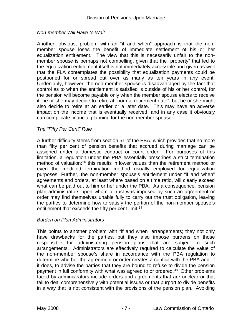#### *Non-member Will Have to Wait*

Another, obvious, problem with an "if and when" approach is that the nonmember spouse loses the benefit of immediate settlement of his or her equalization entitlement. The view that this is necessarily unfair to the nonmember spouse is perhaps not compelling, given that the "property" that led to the equalization entitlement itself is not immediately accessible and given as well that the FLA contemplates the possibility that equalization payments could be postponed for or spread out over as many as ten years in any event. Undeniably, however, the non-member spouse is disadvantaged by the fact that control as to when the entitlement is satisfied is outside of his or her control, for the pension will become payable only when the member spouse elects to receive it; he or she may decide to retire at "normal retirement date", but he or she might also decide to retire at an earlier or a later date. This may have an adverse impact on the income that is eventually received, and in any case it obviously can complicate financial planning for the non-member spouse.

#### <span id="page-9-3"></span><span id="page-9-2"></span><span id="page-9-1"></span><span id="page-9-0"></span>*The "Fifty Per Cent" Rule*

A further difficulty stems from section 51 of the PBA, which provides that no more than fifty per cent of pension benefits that accrued during marriage can be assigned under a domestic contract or court order. For purposes of this limitation, a regulation under the PBA essentially prescribes a strict termination method of valuation;<sup>[36](#page-11-0)</sup> this results in lower values than the retirement method or even the modified termination method usually employed for equalization purposes. Further, the non-member spouse's entitlement under "if and when" agreements and orders, at least where based on a time ratio, will clearly exceed what can be paid out to him or her under the PBA. As a consequence, pension plan administrators upon whom a trust was imposed by such an agreement or order may find themselves unable fully to carry out the trust obligation, leaving the parties to determine how to satisfy the portion of the non-member spouse's entitlement that exceeds the fifty per cent limit.<sup>[37](#page-11-1)</sup>

#### *Burden on Plan Administrators*

This points to another problem with "if and when" arrangements; they not only have drawbacks for the parties, but they also impose burdens on those responsible for administering pension plans that are subject to such arrangements. Administrators are effectively required to calculate the value of the non-member spouse's share in accordance with the PBA regulation to determine whether the agreement or order creates a conflict with the PBA and, if it does, to advise the parties that they are bound to refuse to divide the pension payment in full conformity with what was agreed to or ordered.<sup>38</sup> Other problems faced by administrators include orders and agreements that are unclear or that fail to deal comprehensively with potential issues or that purport to divide benefits in a way that is not consistent with the provisions of the pension plan. Avoiding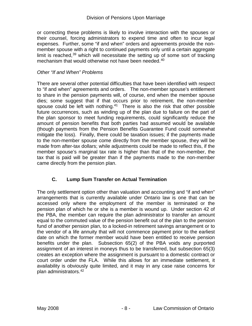or correcting these problems is likely to involve interaction with the spouses or their counsel, forcing administrators to expend time and often to incur legal expenses. Further, some "if and when" orders and agreements provide the nonmember spouse with a right to continued payments only until a certain aggregate limit is reached,  $39$  which will necessitate the setting up of some sort of tracking mechanism that would otherwise not have been needed.<sup>[40](#page-12-1)</sup>

## *Other "If and When" Problems*

<span id="page-10-3"></span><span id="page-10-2"></span><span id="page-10-1"></span><span id="page-10-0"></span>There are several other potential difficulties that have been identified with respect to "if and when" agreements and orders. The non-member spouse's entitlement to share in the pension payments will, of course, end when the member spouse dies; some suggest that if that occurs prior to retirement, the non-member spouse could be left with nothing.<sup>[41](#page-12-2)</sup> There is also the risk that other possible future occurrences, such as winding up of the plan due to failure on the part of the plan sponsor to meet funding requirements, could significantly reduce the amount of pension benefits that both parties had assumed would be available (though payments from the Pension Benefits Guarantee Fund could somewhat mitigate the loss). Finally, there could be taxation issues; if the payments made to the non-member spouse come directly from the member spouse, they will be made from after-tax dollars; while adjustments could be made to reflect this, if the member spouse's marginal tax rate is higher than that of the non-member, the tax that is paid will be greater than if the payments made to the non-member came directly from the pension plan.

# **C. Lump Sum Transfer on Actual Termination**

<span id="page-10-8"></span><span id="page-10-7"></span><span id="page-10-6"></span><span id="page-10-5"></span><span id="page-10-4"></span>The only settlement option other than valuation and accounting and "if and when" arrangements that is currently available under Ontario law is one that can be accessed only where the employment of the member is terminated or the pension plan of which he or she is a member is wound up. Under section 42 of the PBA, the member can require the plan administrator to transfer an amount equal to the commuted value of the pension benefit out of the plan to the pension fund of another pension plan, to a locked-in retirement savings arrangement or to the vendor of a life annuity that will not commence payment prior to the earliest date on which the former member would have been entitled to receive pension benefits under the plan. Subsection 65(2) of the PBA voids any purported assignment of an interest in moneys thus to be transferred, but subsection 65(3) creates an exception where the assignment is pursuant to a domestic contract or court order under the FLA. While this allows for an immediate settlement, it availability is obviously quite limited, and it may in any case raise concerns for plan administrators.[42](#page-12-3)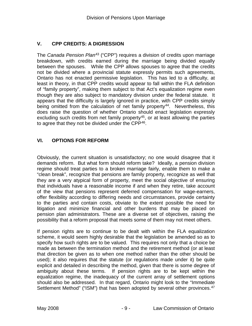## <span id="page-11-1"></span>**V. CPP CREDITS: A DIGRESSION**

<span id="page-11-2"></span>The *Canada Pension Plan*[43](#page-13-0) ("CPP") requires a division of credits upon marriage breakdown, with credits earned during the marriage being divided equally between the spouses. While the CPP allows spouses to agree that the credits not be divided where a provincial statute expressly permits such agreements, Ontario has not enacted permissive legislation. This has led to a difficulty, at least in theory, in that CPP credits would appear to fall within the FLA definition of "family property", making them subject to that Act's equalization regime even though they are also subject to mandatory division under the federal statute. It appears that the difficulty is largely ignored in practice, with CPP credits simply being omitted from the calculation of net family property<sup>44</sup>. Nevertheless, this does raise the question of whether Ontario should enact legislation expressly excluding such credits from net family property<sup>45</sup>, or at least allowing the parties to agree that they not be divided under the CPP<sup>46</sup>.

## **VI. OPTIONS FOR REFORM**

Obviously, the current situation is unsatisfactory; no one would disagree that it demands reform. But what form should reform take? Ideally, a pension division regime should treat parties to a broken marriage fairly, enable them to make a "clean break", recognize that pensions are family property, recognize as well that they are a very atypical form of property, meet the social objective of ensuring that individuals have a reasonable income if and when they retire, take account of the view that pensions represent deferred compensation for wage-earners, offer flexibility according to differing needs and circumstances, provide certainty to the parties and contain costs, obviate to the extent possible the need for litigation and minimize financial and other burdens that may be placed on pension plan administrators. These are a diverse set of objectives, raising the possibility that a reform proposal that meets some of them may not meet others.

<span id="page-11-0"></span>If pension rights are to continue to be dealt with within the FLA equalization scheme, it would seem highly desirable that the legislation be amended so as to specify how such rights are to be valued. This requires not only that a choice be made as between the termination method and the retirement method (or at least that direction be given as to when one method rather than the other should be used); it also requires that the statute (or regulations made under it) be quite explicit and detailed in describing the method, given that there is some degree of ambiguity about these terms. If pension rights are to be kept within the equalization regime, the inadequacy of the current array of settlement options should also be addressed. In that regard, Ontario might look to the "Immediate Settlement Method" ("ISM") that has been adopted by several other provinces.<sup>[47](#page-13-4)</sup>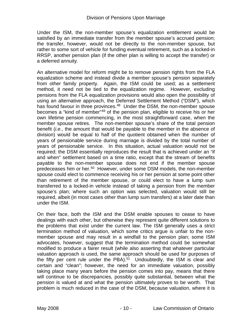Under the ISM, the non-member spouse's equalization entitlement would be satisfied by an immediate transfer from the member spouse's accrued pension; the transfer, however, would not be directly to the non-member spouse, but rather to some sort of vehicle for funding eventual retirement, such as a locked-in RRSP, another pension plan (if the other plan is willing to accept the transfer) or a deferred annuity.

<span id="page-12-3"></span><span id="page-12-2"></span><span id="page-12-1"></span><span id="page-12-0"></span>An alternative model for reform might be to remove pension rights from the FLA equalization scheme and instead divide a member spouse's pension separately from other family property. Again, the ISM could be used; as a settlement method, it need not be tied to the equalization regime. However, excluding pensions from the FLA equalization provisions would also open the possibility of using an alternative approach, the Deferred Settlement Method ("DSM"), which has found favour in three provinces.<sup>48</sup> Under the DSM, the non-member spouse becomes a "kind of member"[49](#page-14-1) of the pension plan, eligible to receive his or her own lifetime pension commencing, in the most straightforward case, when the member spouse retires. The non-member spouse's share of the total pension benefit (*i.e*., the amount that would be payable to the member in the absence of division) would be equal to half of the quotient obtained when the number of years of pensionable service during marriage is divided by the total number of years of pensionable service. In this situation, actual valuation would not be required; the DSM essentially reproduces the result that is achieved under an "if and when" settlement based on a time ratio, except that the stream of benefits payable to the non-member spouse does not end if the member spouse predeceases him or her.<sup>[50](#page-14-2)</sup> However, under some DSM models, the non-member spouse could elect to commence receiving his or her pension at some point other than retirement of the member spouse, or could elect to have a lump sum transferred to a locked-in vehicle instead of taking a pension from the member spouse's plan; where such an option was selected, valuation would still be required, albeit (in most cases other than lump sum transfers) at a later date than under the ISM.

On their face, both the ISM and the DSM enable spouses to cease to have dealings with each other, but otherwise they represent quite different solutions to the problems that exist under the current law. The ISM generally uses a strict termination method of valuation, which some critics argue is unfair to the nonmember spouse and may result in a windfall to the pension plan; some ISM advocates, however, suggest that the termination method could be somewhat modified to produce a fairer result (while also asserting that whatever particular valuation approach is used, the same approach should be used for purposes of the fifty per cent rule under the PBA).<sup>51</sup> Undoubtedly, the ISM is clear and certain and "clean"; however, the need for an immediate valuation, possibly taking place many years before the pension comes into pay, means that there will continue to be discrepancies, possibly quite substantial, between what the pension is valued at and what the pension ultimately proves to be worth. That problem is much reduced in the case of the DSM, because valuation, where it is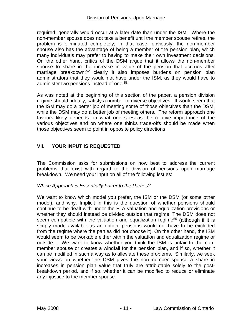required, generally would occur at a later date than under the ISM. Where the non-member spouse does not take a benefit until the member spouse retires, the problem is eliminated completely; in that case, obviously, the non-member spouse also has the advantage of being a member of the pension plan, which many individuals may prefer to having to make their own investment decisions. On the other hand, critics of the DSM argue that it allows the non-member spouse to share in the increase in value of the pension that accrues after marriage breakdown;<sup>[52](#page-15-0)</sup> clearly it also imposes burdens on pension plan administrators that they would not have under the ISM, as they would have to administer two pensions instead of one.<sup>[53](#page-15-1)</sup>

As was noted at the beginning of this section of the paper, a pension division regime should, ideally, satisfy a number of diverse objectives. It would seem that the ISM may do a better job of meeting some of those objectives than the DSM, while the DSM may do a better job of meeting others. The reform approach one favours likely depends on what one sees as the relative importance of the various objectives and on where one thinks trade-offs should be made when those objectives seem to point in opposite policy directions

# <span id="page-13-2"></span><span id="page-13-1"></span><span id="page-13-0"></span>**VII. YOUR INPUT IS REQUESTED**

<span id="page-13-4"></span><span id="page-13-3"></span>The Commission asks for submissions on how best to address the current problems that exist with regard to the division of pensions upon marriage breakdown. We need your input on all of the following issues:

#### *Which Approach is Essentially Fairer to the Parties?*

We want to know which model you prefer, the ISM or the DSM (or some other model), and why. Implicit in this is the question of whether pensions should continue to be dealt with under the FLA valuation and equalization provisions or whether they should instead be divided outside that regime. The DSM does not seem compatible with the valuation and equalization regime<sup>55</sup> (although if it is simply made available as an option, pensions would not have to be excluded from the regime where the parties did not choose it). On the other hand, the ISM would seem to be workable either within the valuation and equalization regime or outside it. We want to know whether you think the ISM is unfair to the nonmember spouse or creates a windfall for the pension plan, and if so, whether it can be modified in such a way as to alleviate these problems. Similarly, we seek your views on whether the DSM gives the non-member spouse a share in increases in pension plan value that truly are attributable solely to the postbreakdown period, and if so, whether it can be modified to reduce or eliminate any injustice to the member spouse.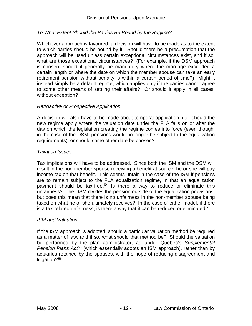## *To What Extent Should the Parties Be Bound by the Regime?*

Whichever approach is favoured, a decision will have to be made as to the extent to which parties should be bound by it. Should there be a presumption that the approach will be used unless certain exceptional circumstances exist, and if so, what are those exceptional circumstances? (For example, if the DSM approach is chosen, should it generally be mandatory where the marriage exceeded a certain length or where the date on which the member spouse can take an early retirement pension without penalty is within a certain period of time?) Might it instead simply be a default regime, which applies only if the parties cannot agree to some other means of settling their affairs? Or should it apply in all cases, without exception?

#### *Retroactive or Prospective Application*

A decision will also have to be made about temporal application, *i.e.,* should the new regime apply where the valuation date under the FLA falls on or after the day on which the legislation creating the regime comes into force (even though, in the case of the DSM, pensions would no longer be subject to the equalization requirements), or should some other date be chosen?

#### *Taxation Issues*

<span id="page-14-1"></span><span id="page-14-0"></span>Tax implications will have to be addressed. Since both the ISM and the DSM will result in the non-member spouse receiving a benefit at source, he or she will pay income tax on that benefit. This seems unfair in the case of the ISM if pensions are to remain subject to the FLA equalization regime, in that an equalization payment should be tax-free.<sup>[54](#page-15-2)</sup> Is there a way to reduce or eliminate this unfairness? The DSM divides the pension outside of the equalization provisions, but does this mean that there is no unfairness in the non-member spouse being taxed on what he or she ultimately receives? In the case of either model, if there is a tax-related unfairness, is there a way that it can be reduced or eliminated?

#### <span id="page-14-3"></span><span id="page-14-2"></span>*ISM and Valuation*

If the ISM approach is adopted, should a particular valuation method be required as a matter of law, and if so, what should that method be? Should the valuation be performed by the plan administrator, as under Quebec's *Supplemental Pension Plans Act*<sup>[55](#page-15-3)</sup> (which essentially adopts an ISM approach), rather than by actuaries retained by the spouses, with the hope of reducing disagreement and litigation?<sup>[56](#page-15-4)</sup>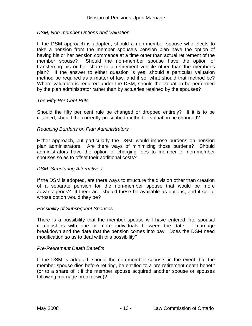#### *DSM, Non-member Options and Valuation*

If the DSM approach is adopted, should a non-member spouse who elects to take a pension from the member spouse's pension plan have the option of having his or her pension commence at a time other than actual retirement of the member spouse? Should the non-member spouse have the option of transferring his or her share to a retirement vehicle other than the member's plan? If the answer to either question is yes, should a particular valuation method be required as a matter of law, and if so, what should that method be? Where valuation is required under the DSM, should the valuation be performed by the plan administrator rather than by actuaries retained by the spouses?

#### *The Fifty Per Cent Rule*

Should the fifty per cent rule be changed or dropped entirely? If it is to be retained, should the currently-prescribed method of valuation be changed?

#### *Reducing Burdens on Plan Administrators*

Either approach, but particularly the DSM, would impose burdens on pension plan administrators. Are there ways of minimizing those burdens? Should administrators have the option of charging fees to member or non-member spouses so as to offset their additional costs?

#### *DSM: Structuring Alternatives*

If the DSM is adopted, are there ways to structure the division other than creation of a separate pension for the non-member spouse that would be more advantageous? If there are, should these be available as options, and if so, at whose option would they be?

#### <span id="page-15-1"></span><span id="page-15-0"></span>*Possibility of Subsequent Spouses*

<span id="page-15-4"></span><span id="page-15-3"></span><span id="page-15-2"></span>There is a possibility that the member spouse will have entered into spousal relationships with one or more individuals between the date of marriage breakdown and the date that the pension comes into pay. Does the DSM need modification so as to deal with this possibility?

#### *Pre-Retirement Death Benefits*

If the DSM is adopted, should the non-member spouse, in the event that the member spouse dies before retiring, be entitled to a pre-retirement death benefit (or to a share of it if the member spouse acquired another spouse or spouses following marriage breakdown)?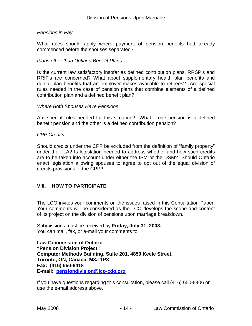#### *Pensions in Pay*

What rules should apply where payment of pension benefits had already commenced before the spouses separated?

#### *Plans other than Defined Benefit Plans*

Is the current law satisfactory insofar as defined contribution plans, RRSP's and RRIF's are concerned? What about supplementary health plan benefits and dental plan benefits that an employer makes available to retirees? Are special rules needed in the case of pension plans that combine elements of a defined contribution plan and a defined benefit plan?

#### *Where Both Spouses Have Pensions*

Are special rules needed for this situation? What if one pension is a defined benefit pension and the other is a defined contribution pension?

#### *CPP Credits*

Should credits under the CPP be excluded from the definition of "family property" under the FLA? Is legislation needed to address whether and how such credits are to be taken into account under either the ISM or the DSM? Should Ontario enact legislation allowing spouses to agree to opt out of the equal division of credits provisions of the CPP?

## **VIII. HOW TO PARTICIPATE**

The LCO invites your comments on the issues raised in this Consultation Paper. Your comments will be considered as the LCO develops the scope and content of its project on the division of pensions upon marriage breakdown.

Submissions must be received by **Friday, July 31, 2008.**  You can mail, fax, or e-mail your comments to:

**Law Commission of Ontario "Pension Division Project" Computer Methods Building, Suite 201, 4850 Keele Street, Toronto, ON, Canada, M3J 1P3 Fax: (416) 650-8418 E-mail: [pensiondivision@lco-cdo.org](mailto:olderadults@lco-cdo.org)**

If you have questions regarding this consultation, please call (416) 650-8406 or use the e-mail address above.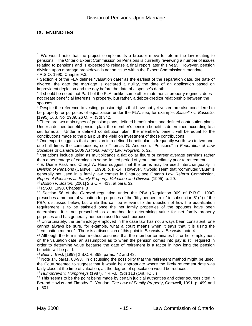## **IX. ENDNOTES**

 $6$  There are two main types of pension plans, defined benefit plans and defined contribution plans. Under a defined benefit pension plan, the member's pension benefit is determined according to a set formula. Under a defined contribution plan, the member's benefit will be equal to the contributions made to the plan plus the yield on investment of those contributions.

 $7$  One expert suggests that a pension in a defined benefit plan is frequently worth two to two-andone-half times the contributions; see Thomas G. Anderson, "Pensions" in *Federation of Law Societies of Canada 2006 National Family Law Program*, p. 32.

<sup>8</sup> Variations include using as multiplicands a flat dollar figure or career average earnings rather than a percentage of earnings in some limited period of years immediately prior to retirement.

<sup>9</sup> E. Diane Pask and Cheryl A. Hass suggest that the terms may be used interchangeably in *Division of Pensions* (Carswell, 1990), p. III-14. However, it would seem that "commuted value" is generally not used in a family law context in Ontario; see Ontario Law Reform Commission, *Report of Pensions as Family Property: Valuation and Division* (1995), p. 29.

<sup>10</sup> *Boston v. Boston*, [2001] 2 S.C.R. 413, at para. 32.

<sup>11</sup> R.S.O. 1990, Chapter P.8

<sup>12</sup> Section 56 of the *General* regulation under the PBA (Regulation 909 of R.R.O. 1990) prescribes a method of valuation for purposes of the "fifty per cent rule" in subsection 51(2) of the PBA, discussed below, but while this can be relevant to the question of how the equalization requirement is to be satisfied once the net family properties of the spouses have been determined, it is not prescribed as a method for determining value for net family property purposes and has generally not been used for such purposes.

<sup>13</sup> Unfortunately, the terminology employed in the case law has not always been consistent; one cannot always be sure, for example, what a court means when it says that it is using the "termination method". There is a discussion of this point in *Bascello v. Bascello*, note 4.

<sup>14</sup> Although the termination method assumes that the member terminates his or her employment on the valuation date, an assumption as to when the pension comes into pay is still required in order to determine value because the date of retirement is a factor in how long the pension benefits will be paid.

<sup>15</sup> *Best v. Best*, [1999] 2 S.C.R. 868, paras. 42 and 43.

 $16$  Note 14, paras. 88-93. In discussing the possibility that the retirement method might be used, the Court seemed to suggest that it would be appropriate where the likely retirement date was fairly close at the time of valuation, as the degree of speculation would be reduced.

<sup>17</sup> *Humphreys v. Humphreys* (1987), 7 R.F.L. (3d) 113 (Ont.HC.J.)

<sup>18</sup> This seems to be the point being made by certain judicial authorities and other sources cited in Berend Hovius and Timothy G. Youdan, *The Law of Family Property*, Carswell, 1991, p. 499 and p. 501.

 $1$  We would note that the project complements a broader move to reform the law relating to pensions. The Ontario Expert Commission on Pensions is currently reviewing a number of issues relating to pensions and is expected to release a final report later this year. However, pension division upon marriage breakdown is not an issue within the Expert Commission's mandate. <sup>2</sup> R.S.O. 1990, Chapter F.3.

 $3$  Section 4 of the FLA defines "valuation date" as the earliest of the separation date, the date of divorce, the date the marriage is declared a nullity, the date of an application based on improvident depletion and the day before the date of a spouse's death.

<sup>4</sup> It should be noted that Part I of the FLA, unlike some other matrimonial property regimes, does not create beneficial interests in property, but rather, a debtor-creditor relationship between the spouses.

<sup>&</sup>lt;sup>5</sup> Despite the reference to vesting, pension rights that have not yet vested are also considered to be property for purposes of equalization under the FLA; see, for example, *Bascello v. Bascello*, [1995] O. J. No. 2989, 26 O. R. (3d) 342.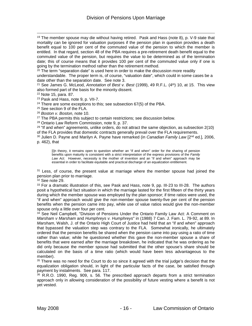<sup>19</sup> The member spouse may die without having retired. Pask and Hass (note  $8$ ), p. V-9 state that mortality can be ignored for valuation purposes if the pension plan in question provides a death benefit equal to 100 per cent of the commuted value of the pension to which the member is entitled. In that regard, section 48 of the PBA requires a pre-retirement death benefit equal to the commuted value of the pension, but requires the value to be determined as of the termination date; this of course means that it provides 100 per cent of the commuted value only if one is going by the termination method rather than the retirement method.

 $\bar{z}$ <sup>0</sup> The term "separation date" is used here in order to make the discussion more readily

understandable. The proper term is, of course, "valuation date", which could in some cases be a date other than the separation date. See note 3.

<sup>21</sup> See James G. McLeod, *Annotation* of *Best v. Best* (1999), 49 R.F.L. (4th) 10, at 15. This view also formed part of the basis for the minority dissent.

<sup>22</sup> Note 15, para. 87.

<sup>23</sup> Pask and Hass, note 9, p. VII-7.

 $24$  There are some exceptions to this; see subsection 67(5) of the PBA.

<sup>25</sup> See section 9 of the FLA.

<sup>26</sup> *Boston v. Boston*, note 10.

<sup>27</sup> The PBA permits this subject to certain restrictions; see discussion below.

<sup>28</sup> Ontario Law Reform Commission, note 9, p. 37.

 $29$  "If and when" agreements, unlike orders, do not attract the same objection, as subsection  $2(10)$ of the FLA provides that domestic contracts generally prevail over the FLA requirements.

<sup>30</sup> Julien D. Payne and Marilyn A. Payne have remarked (in *Canadian Family Law* [2nd ed.], 2006, p. 462), that

[i]n theory, it remains open to question whether an "if and when" order for the sharing of pension benefits upon maturity is consistent with a strict interpretation of the express provisions of the *Family Law Act*. However, necessity is the mother of invention and an "if and when" approach may be essential in order to facilitate equitable and practical discharge of an equalization entitlement.

<sup>31</sup> Less, of course, the present value at marriage where the member spouse had joined the pension plan prior to marriage.

<sup>32</sup> See note 29.

<sup>33</sup> For a dramatic illustration of this, see Pask and Hass, note 9, pp. III-23 to III-28. The authors posit a hypothetical fact situation in which the marriage lasted for the first fifteen of the thirty years during which the member spouse was employed by the plan sponsor; if time ratios were used, the "if and when" approach would give the non-member spouse twenty-five per cent of the pension benefits when the pension came into pay, while use of value ratios would give the non-member spouse only a little over four per cent.

<sup>34</sup> See Neil Campbell, "Division of Pensions Under the Ontario Family Law Act: A Comment on *Marsham v Marsham* and *Humphreys v. Humphreys*" in (1988) 7 Can. J. Fam. L. 79-92, at 89. In *Marsham*, Walsh, J. of the Ontario High Court of Justice had held that an "if and when" approach that bypassed the valuation step was contrary to the FLA. Somewhat ironically, he ultimately ordered that the pension benefits be shared when the pension came into pay using a ratio of time rather than value; while he questioned whether this gave the non-member spouse a share of benefits that were earned after the marriage breakdown, he indicated that he was ordering as he did only because the member spouse had submitted that the other spouse's share should be calculated on the basis of a time ratio (which would have been less advantageous to the member).

<sup>35</sup> There was no need for the Court to do so since it agreed with the trial judge's decision that the equalization obligation should, in light of the particular facts of the case, be satisfied through payment by instalments. See para. 117.

<sup>36</sup> R.R.O. 1990, Reg. 909, s. 56. The prescribed approach departs from a strict termination approach only in allowing consideration of the possibility of future vesting where a benefit is not yet vested.